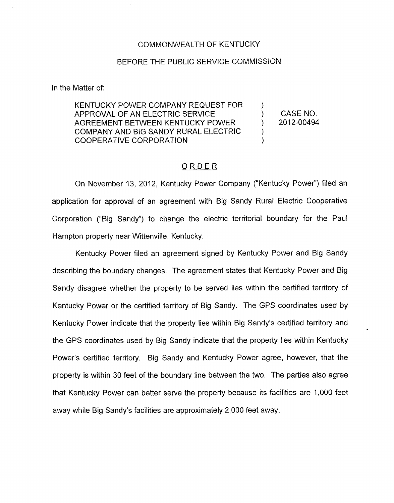## COMMONWEALTH OF KENTUCKY

## BEFORE THE PUBLIC SERVICE COMMISSION

In the Matter of:

KENTUCKY POWER COMPANY REQUEST FOR APPROVAL OF AN ELECTRIC SERVICE ) CASENO. AGREEMENT BETWEEN KENTUCKY POWER ) 2012-00494 COMPANY AND BIG SANDY RURAL ELECTRIC COOPERATIVE CORPORATION  $\sum_{i=1}^{n}$ 

## ORDER

On November 13, 2012, Kentucky Power Company ("Kentucky Power") filed an application for approval of an agreement with Big Sandy Rural Electric Cooperative Corporation ("Big Sandy") to change the electric territorial boundary for the Paul Hampton property near Wittenville, Kentucky.

Kentucky Power filed an agreement signed by Kentucky Power and Big Sandy describing the boundary changes. The agreement states that Kentucky Power and Big Sandy disagree whether the property to be served lies within the certified territory of Kentucky Power or the certified territory of Big Sandy. The GPS coordinates used by Kentucky Power indicate that the property lies within Big Sandy's certified territory and the GPS coordinates used by Big Sandy indicate that the property lies within Kentucky Power's certified territory. Big Sandy and Kentucky Power agree, however, that the property is within 30 feet of the boundary line between the two. The parties also agree that Kentucky Power can better serve the property because its facilities are 1,000 feet away while Big Sandy's facilities are approximately 2,000 feet away.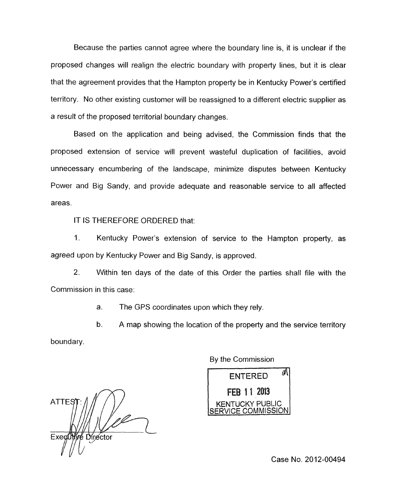Because the parties cannot agree where the boundary line is, it is unclear if the proposed changes will realign the electric boundary with property lines, but it is clear that the agreement provides that the Hampton property be in Kentucky Power's certified territory. No other existing customer will be reassigned to a different electric supplier as a result of the proposed territorial boundary changes.

Based on the application and being advised, the Commission finds that the proposed extension of service will prevent wasteful duplication of facilities, avoid unnecessary encumbering of the landscape, minimize disputes between Kentucky Power and Big Sandy, and provide adequate and reasonable service to all affected areas.

IT IS THEREFORE ORDERED that:

1. Kentucky Power's extension of service to the Hampton property, as agreed upon by Kentucky Power and Big Sandy, is approved.

2. Within ten days of the date of this Order the parties shall file with the Commission in this case:

a. The GPS coordinates upon which they rely.

b. A map showing the location of the property and the service territory boundary.

**ATTES** Exed Director

By the Commission



Case No. 2012-00494